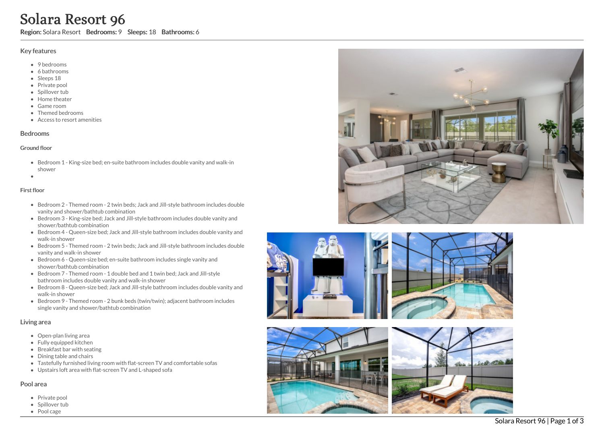# Solara Resort 96

Region: Solara Resort Bedrooms: 9 Sleeps: 18 Bathrooms: 6

## Key features

- 9 bedrooms
- 6 bathrooms
- Sleeps 18
- Private pool
- Spillover tub
- Home theate r
- G a m e r o o m
- Themed bedrooms
- Access to resort amenities

# **Bedrooms**

#### Ground floor

- Bedroom 1 King-size bed; en-suite bathroom includes double vanity and walk-in s h o w e r
- 

# Fir s t flo o r

- Bedroom 2 Themed room 2 twin beds; Jack and Jill-style bathroom includes double vanity and shower/bathtub combination
- Bedroom 3 King-size bed; Jack and Jill-style bathroom includes double vanity and shower/bathtub combination
- Bedroom 4 Queen-size bed; Jack and Jill-style bathroom includes double vanity and w alk -in s h o w e r
- Bedroom 5 Themed room 2 twin beds; Jack and Jill-style bathroom includes double vanity and walk-in shower
- Bedroom 6 Queen-size bed; en-suite bathroom includes single vanity and shower/bathtub combination
- Bedroom 7 Themed room 1 double bed and 1 twin bed; Jack and Jill-style bathroom includes double vanity and walk-in shower
- Bedroom 8 Queen-size bed; Jack and Jill-style bathroom includes double vanity and w alk -in s h o w e r
- Bedroom 9 Themed room 2 bunk beds (twin/twin); adjacent bathroom includes single vanity and shower/bathtub combination

# Living area

- Open-plan living area
- Fully equipped kitchen
- Breakfast bar with seating
- Dining table and chairs
- Tastefully furnished living room with flat-screen TV and comfortable sofas
- Upstairs loft area with flat-screen TV and L-shaped sofa

# Pool area

- Private pool
- Spillover tub
- Pool cage









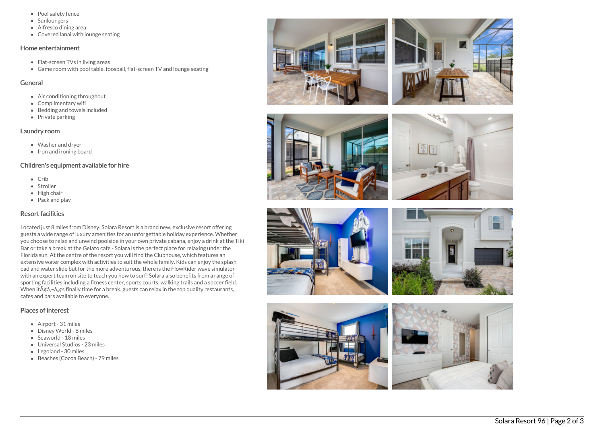- Pool safety fence
- Sunloungers
- Alfresco dining area
- Covered lanai with lounge seating

#### Home entertainment

- Flat-screen TVs in living areas
- Game room with pool table, foosball, flat-screen TV and lounge seating

### General

- Air conditioning throughout
- Complimentary wifi
- Bedding and towels included
- Private parking

# Laundry room

- Washer and dryer
- Iron and ironing board

# Children's equipment available for hire

- $\bullet$  Crib
- Stroller
- High chair
- Pack and play

# Resort facilities

Located just 8 miles from Disney, Solara Resort is a brand new, exclusive resort offering guests a wide range of luxury amenities for an unforgettable holiday experience. Whether you choose to relax and unwind poolside in your own private cabana, enjoy a drink at the Tiki Bar or take a break at the Gelato cafe - Solara is the perfect place for relaxing under the Florida sun. At the centre of the resort you will find the Clubhouse, which features an extensive water complex with activities to suit the whole family. Kids can enjoy the splash pad and water slide but for the more adventurous, there is the FlowRider wave simulator with an expert team on site to teach you how to surf! Solara also benefits from a range of sporting facilities including a fitness center, sports courts, walking trails and a soccer field. When it $\tilde{A}$  $\tilde{a}$ , $\tilde{a}$ , $\tilde{a}$ , $\tilde{a}$  finally time for a break, guests can relax in the top quality restaurants, cafes and bars available to everyone.

# Places of interest

- Airport 31 miles
- Disney World 8 miles
- Seaworld 18 miles
- Universal Studios 23 miles
- Legoland 30 miles
- Beaches (Cocoa Beach) 79 miles